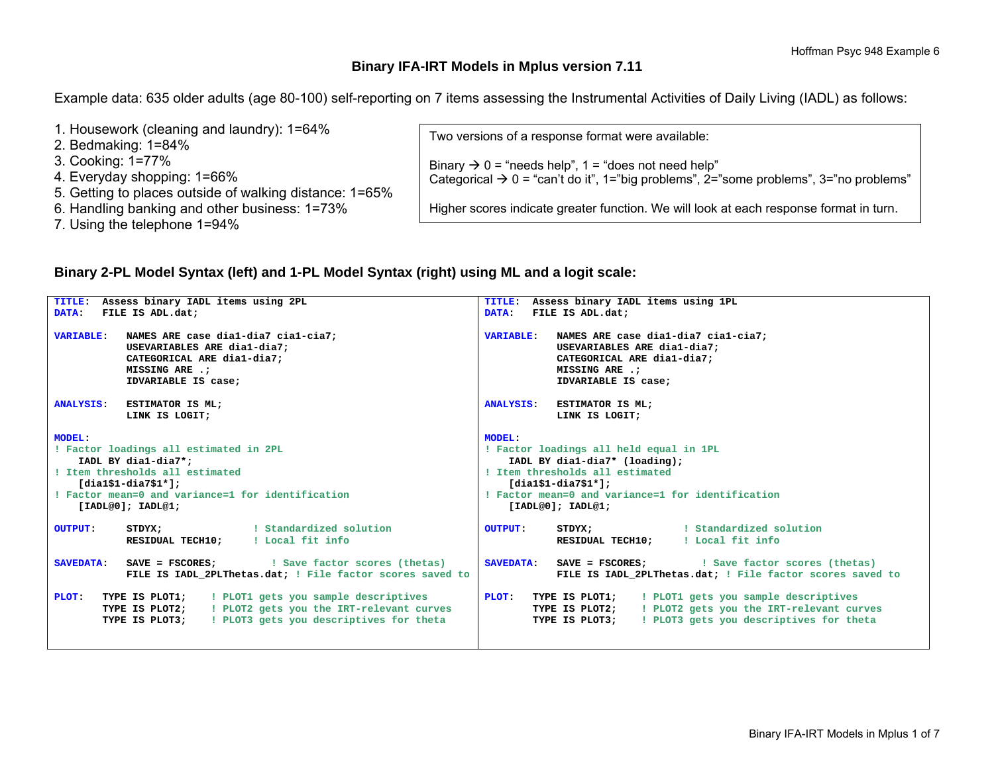## **Binary IFA-IRT Models in Mplus version 7.11**

Example data: 635 older adults (age 80-100) self-reporting on 7 items assessing the Instrumental Activities of Daily Living (IADL) as follows:

| 1. Housework (cleaning and laundry): 1=64%              | Two versions of a response format were available:                                                 |
|---------------------------------------------------------|---------------------------------------------------------------------------------------------------|
| 2. Bedmaking: $1=84\%$                                  |                                                                                                   |
| 3. Cooking: 1=77%                                       | Binary $\rightarrow$ 0 = "needs help", 1 = "does not need help"                                   |
| 4. Everyday shopping: 1=66%                             | Categorical $\rightarrow$ 0 = "can't do it", 1="big problems", 2="some problems", 3="no problems" |
| 5. Getting to places outside of walking distance: 1=65% |                                                                                                   |
| 6. Handling banking and other business: 1=73%           | Higher scores indicate greater function. We will look at each response format in turn.            |
| 7. Using the telephone 1=94%                            |                                                                                                   |

## **Binary 2-PL Model Syntax (left) and 1-PL Model Syntax (right) using ML and a logit scale:**

| TITLE: Assess binary IADL items using 2PL                                                                                                                                                                                                                                                                           | TITLE: Assess binary IADL items using 1PL                                                                                                                                                                                                                                                                            |  |  |  |  |  |
|---------------------------------------------------------------------------------------------------------------------------------------------------------------------------------------------------------------------------------------------------------------------------------------------------------------------|----------------------------------------------------------------------------------------------------------------------------------------------------------------------------------------------------------------------------------------------------------------------------------------------------------------------|--|--|--|--|--|
| DATA: FILE IS ADL.dat;                                                                                                                                                                                                                                                                                              | FILE IS ADL.dat;<br><b>DATA:</b>                                                                                                                                                                                                                                                                                     |  |  |  |  |  |
| VARIABLE: NAMES ARE case dial-dia7 cial-cia7;<br>USEVARIABLES ARE dia1-dia7:<br>CATEGORICAL ARE dia1-dia7;<br>MISSING ARE .:<br>IDVARIABLE IS case:                                                                                                                                                                 | VARIABLE: NAMES ARE case dial-dia7 cial-cia7;<br>USEVARIABLES ARE dia1-dia7;<br>CATEGORICAL ARE dia1-dia7:<br>MISSING ARE .:<br>IDVARIABLE IS case;                                                                                                                                                                  |  |  |  |  |  |
| ANALYSIS: ESTIMATOR IS ML;                                                                                                                                                                                                                                                                                          | ANALYSIS: ESTIMATOR IS ML;                                                                                                                                                                                                                                                                                           |  |  |  |  |  |
| LINK IS LOGIT;                                                                                                                                                                                                                                                                                                      | LINK IS LOGIT;                                                                                                                                                                                                                                                                                                       |  |  |  |  |  |
| <b>MODEL:</b><br>! Factor loadings all estimated in 2PL<br>IADL BY dia1-dia7*;<br>! Item thresholds all estimated<br>$[diag1,diag51 - diag7,$<br>! Factor mean=0 and variance=1 for identification<br>[IADL@0]; IADL@1;<br>! Standardized solution<br><b>OUTPUT:</b><br>STDYX;<br>RESIDUAL TECH10: ! Local fit info | <b>MODEL:</b><br>! Factor loadings all held equal in 1PL<br>IADL BY dial-dia7* (loading);<br>! Item thresholds all estimated<br>$[diag1,diag51-$<br>! Factor mean=0 and variance=1 for identification<br>[IADL@0]; IADL@1;<br>Standardized solution<br><b>OUTPUT:</b><br>STDYX;<br>RESIDUAL TECH10: ! Local fit info |  |  |  |  |  |
|                                                                                                                                                                                                                                                                                                                     |                                                                                                                                                                                                                                                                                                                      |  |  |  |  |  |
| <b>SAVEDATA:</b><br>FILE IS IADL 2PLThetas.dat; ! File factor scores saved to                                                                                                                                                                                                                                       | <b>SAVEDATA:</b> SAVE = FSCORES: [Save factor scores (thetas)<br>FILE IS IADL 2PLThetas.dat; ! File factor scores saved to                                                                                                                                                                                           |  |  |  |  |  |
| <b>TYPE IS PLOT1;</b> : PLOT1 gets you sample descriptives<br>PLOT:<br>TYPE IS PLOT2; : PLOT2 gets you the IRT-relevant curves<br><b>TYPE IS PLOT3;</b> : PLOT3 gets you descriptives for theta                                                                                                                     | ! PLOT1 gets you sample descriptives<br>PLOT: TYPE IS PLOT1;<br>TYPE IS PLOT2; : PLOT2 gets you the IRT-relevant curves<br>! PLOT3 gets you descriptives for theta<br>TYPE IS PLOT3;                                                                                                                                 |  |  |  |  |  |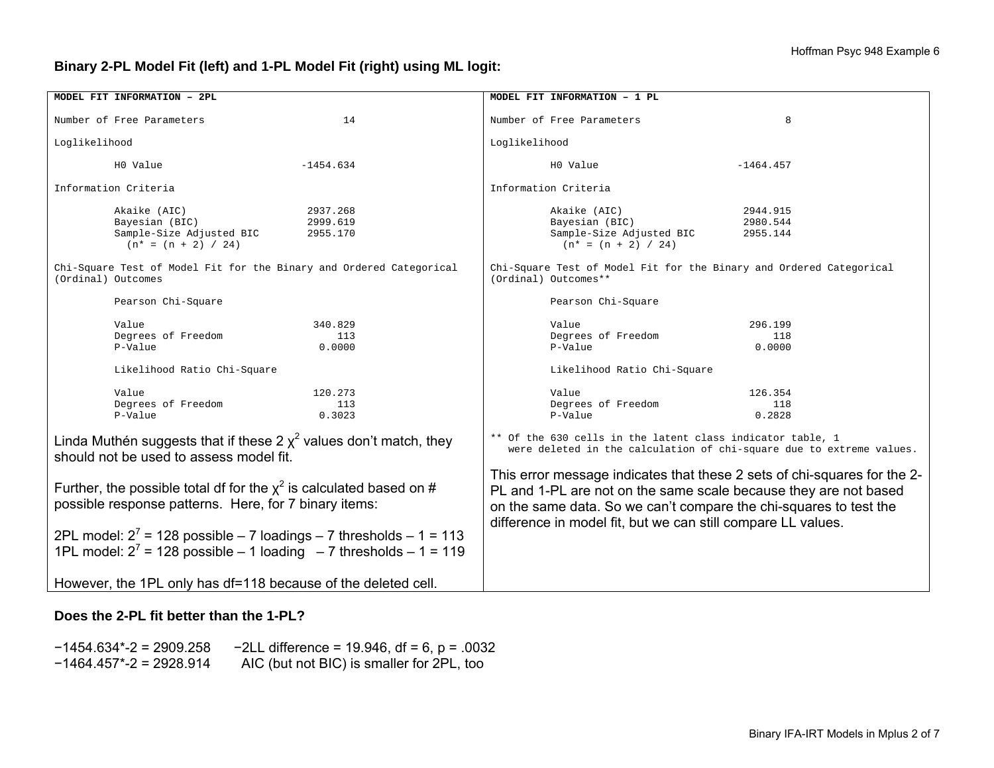## **Binary 2-PL Model Fit (left) and 1-PL Model Fit (right) using ML logit:**

| MODEL FIT INFORMATION - 2PL                                                                                                                                                                                                                                                     |                                  | MODEL FIT INFORMATION - 1 PL                                                                                                       |                                                                                                                                                                                                                                                                                   |                                  |  |  |  |
|---------------------------------------------------------------------------------------------------------------------------------------------------------------------------------------------------------------------------------------------------------------------------------|----------------------------------|------------------------------------------------------------------------------------------------------------------------------------|-----------------------------------------------------------------------------------------------------------------------------------------------------------------------------------------------------------------------------------------------------------------------------------|----------------------------------|--|--|--|
| Number of Free Parameters                                                                                                                                                                                                                                                       | 14                               |                                                                                                                                    | Number of Free Parameters                                                                                                                                                                                                                                                         | 8                                |  |  |  |
| Loglikelihood                                                                                                                                                                                                                                                                   |                                  | Loglikelihood                                                                                                                      |                                                                                                                                                                                                                                                                                   |                                  |  |  |  |
| H0 Value<br>$-1454.634$                                                                                                                                                                                                                                                         |                                  |                                                                                                                                    | H0 Value                                                                                                                                                                                                                                                                          | $-1464.457$                      |  |  |  |
| Information Criteria                                                                                                                                                                                                                                                            |                                  |                                                                                                                                    | Information Criteria                                                                                                                                                                                                                                                              |                                  |  |  |  |
| Akaike (AIC)<br>Bayesian (BIC)<br>Sample-Size Adjusted BIC<br>$(n* = (n + 2) / 24)$                                                                                                                                                                                             | 2937.268<br>2999.619<br>2955.170 |                                                                                                                                    | Akaike (AIC)<br>Bayesian (BIC)<br>Sample-Size Adjusted BIC<br>$(n* = (n + 2) / 24)$                                                                                                                                                                                               | 2944.915<br>2980.544<br>2955.144 |  |  |  |
| Chi-Square Test of Model Fit for the Binary and Ordered Categorical<br>(Ordinal) Outcomes                                                                                                                                                                                       |                                  |                                                                                                                                    | Chi-Square Test of Model Fit for the Binary and Ordered Categorical<br>(Ordinal) Outcomes**                                                                                                                                                                                       |                                  |  |  |  |
| Pearson Chi-Square                                                                                                                                                                                                                                                              |                                  |                                                                                                                                    | Pearson Chi-Square                                                                                                                                                                                                                                                                |                                  |  |  |  |
| Value<br>Degrees of Freedom<br>P-Value                                                                                                                                                                                                                                          | 340.829<br>113<br>0.0000         |                                                                                                                                    | Value<br>Degrees of Freedom<br>P-Value                                                                                                                                                                                                                                            | 296.199<br>118<br>0.0000         |  |  |  |
| Likelihood Ratio Chi-Square                                                                                                                                                                                                                                                     |                                  |                                                                                                                                    | Likelihood Ratio Chi-Square                                                                                                                                                                                                                                                       |                                  |  |  |  |
| Value<br>Degrees of Freedom<br>P-Value                                                                                                                                                                                                                                          | 120.273<br>113<br>0.3023         |                                                                                                                                    | Value<br>Degrees of Freedom<br>P-Value                                                                                                                                                                                                                                            | 126.354<br>118<br>0.2828         |  |  |  |
| Linda Muthén suggests that if these 2 $\chi^2$ values don't match, they<br>should not be used to assess model fit.                                                                                                                                                              |                                  | ** Of the 630 cells in the latent class indicator table, 1<br>were deleted in the calculation of chi-square due to extreme values. |                                                                                                                                                                                                                                                                                   |                                  |  |  |  |
| Further, the possible total df for the $x^2$ is calculated based on #<br>possible response patterns. Here, for 7 binary items:<br>2PL model: $2^7$ = 128 possible – 7 loadings – 7 thresholds – 1 = 113<br>1PL model: $2^7$ = 128 possible - 1 loading - 7 thresholds - 1 = 119 |                                  |                                                                                                                                    | This error message indicates that these 2 sets of chi-squares for the 2-<br>PL and 1-PL are not on the same scale because they are not based<br>on the same data. So we can't compare the chi-squares to test the<br>difference in model fit, but we can still compare LL values. |                                  |  |  |  |
| However, the 1PL only has df=118 because of the deleted cell.                                                                                                                                                                                                                   |                                  |                                                                                                                                    |                                                                                                                                                                                                                                                                                   |                                  |  |  |  |

#### **Does the 2-PL fit better than the 1-PL?**

−1454.634\*-2 = 2909.258 −2LL difference = 19.946, df = 6, p = .0032<br>-1464.457\*-2 = 2928.914 AIC (but not BIC) is smaller for 2PL, too AIC (but not BIC) is smaller for 2PL, too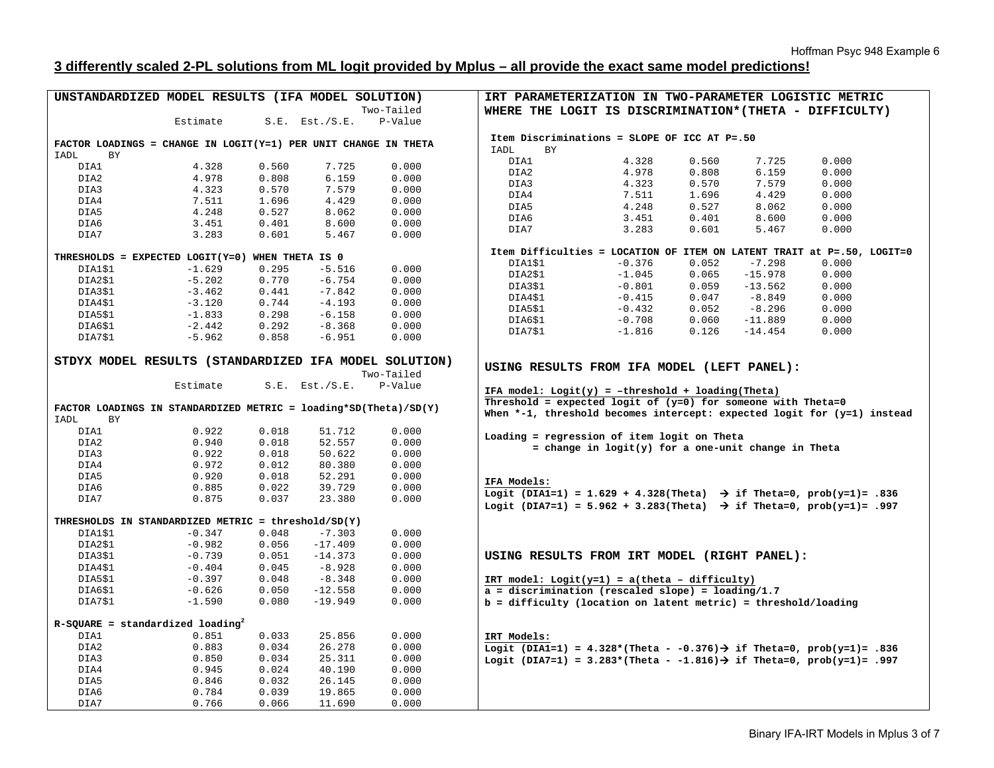# **3 differently scaled 2-PL solutions from ML logit provided by Mplus – all provide the exact same model predictions!**

| UNSTANDARDIZED MODEL RESULTS (IFA MODEL SOLUTION)                  |                |                |                     |                | IRT PARAMETERIZATION IN TWO-PARAMETER LOGISTIC METRIC                                                   |                                                     |       |           |       |  |
|--------------------------------------------------------------------|----------------|----------------|---------------------|----------------|---------------------------------------------------------------------------------------------------------|-----------------------------------------------------|-------|-----------|-------|--|
|                                                                    |                |                |                     | Two-Tailed     | WHERE THE LOGIT IS DISCRIMINATION* (THETA - DIFFICULTY)                                                 |                                                     |       |           |       |  |
|                                                                    | Estimate       |                | $S.E.$ Est./ $S.E.$ | P-Value        |                                                                                                         |                                                     |       |           |       |  |
|                                                                    |                |                |                     |                |                                                                                                         |                                                     |       |           |       |  |
| FACTOR LOADINGS = CHANGE IN LOGIT(Y=1) PER UNIT CHANGE IN THETA    |                |                |                     |                | Item Discriminations = SLOPE OF ICC AT P=.50<br>BY.                                                     |                                                     |       |           |       |  |
| IADL<br>ΒY                                                         |                |                |                     |                | IADL                                                                                                    |                                                     |       |           | 0.000 |  |
| DIA1                                                               | 4.328          | 0.560          | 7.725               | 0.000          | DIA1<br>DIA2                                                                                            | 4.328<br>4.978                                      | 0.560 | 7.725     |       |  |
| DIA2                                                               | 4.978          | 0.808          | 6.159               | 0.000          |                                                                                                         |                                                     | 0.808 | 6.159     | 0.000 |  |
| DIA3                                                               | 4.323          | 0.570          | 7.579               | 0.000          | DIA3                                                                                                    | 4.323                                               | 0.570 | 7.579     | 0.000 |  |
| DIA4                                                               | 7.511          | 1.696          | 4.429               | 0.000          | DIA4                                                                                                    | 7.511                                               | 1.696 | 4.429     | 0.000 |  |
| DIA5                                                               | 4.248          | 0.527          | 8.062               | 0.000          | DIA5                                                                                                    | 4.248                                               | 0.527 | 8.062     | 0.000 |  |
| DIA6                                                               | 3.451          | 0.401          | 8.600               | 0.000          | DIA6                                                                                                    | 3.451                                               | 0.401 | 8.600     | 0.000 |  |
| DIA7                                                               | 3.283          | 0.601          | 5.467               | 0.000          | DIA7                                                                                                    | 3.283                                               | 0.601 | 5.467     | 0.000 |  |
|                                                                    |                |                |                     |                | Item Difficulties = LOCATION OF ITEM ON LATENT TRAIT at P=.50, LOGIT=0                                  |                                                     |       |           |       |  |
| THRESHOLDS = EXPECTED LOGIT(Y=0) WHEN THETA IS 0                   |                |                |                     |                | DIA1\$1                                                                                                 | $-0.376$                                            | 0.052 | $-7.298$  | 0.000 |  |
| DIA1\$1                                                            | $-1.629$       | 0.295          | $-5.516$            | 0.000          | DIA2\$1                                                                                                 | $-1.045$                                            | 0.065 | $-15.978$ | 0.000 |  |
| DIA2\$1                                                            | $-5.202$       | 0.770          | $-6.754$            | 0.000          | DIA3\$1                                                                                                 | $-0.801$                                            | 0.059 | $-13.562$ | 0.000 |  |
| DIA3\$1                                                            | $-3.462$       | 0.441          | $-7.842$            | 0.000          | DIA4\$1                                                                                                 | $-0.415$                                            | 0.047 | $-8.849$  | 0.000 |  |
| DIA4\$1                                                            | $-3.120$       | 0.744          | $-4.193$            | 0.000          | DIA5\$1                                                                                                 | $-0.432$                                            | 0.052 | $-8.296$  | 0.000 |  |
| DIA5\$1                                                            | $-1.833$       | 0.298          | $-6.158$            | 0.000          | DIA6\$1                                                                                                 | $-0.708$                                            | 0.060 | $-11.889$ | 0.000 |  |
| DIA6\$1                                                            | $-2.442$       | 0.292          | $-8.368$            | 0.000          | DIA7\$1                                                                                                 | $-1.816$                                            | 0.126 | $-14.454$ | 0.000 |  |
| DIA7\$1                                                            | $-5.962$       | 0.858          | $-6.951$            | 0.000          |                                                                                                         |                                                     |       |           |       |  |
| STDYX MODEL RESULTS (STANDARDIZED IFA MODEL SOLUTION)              |                |                |                     | Two-Tailed     | USING RESULTS FROM IFA MODEL (LEFT PANEL):                                                              |                                                     |       |           |       |  |
|                                                                    | Estimate       |                | $S.E.$ Est./ $S.E.$ | P-Value        | IFA model: $Logit(y) = -threshold + loading(Theta)$                                                     |                                                     |       |           |       |  |
| FACTOR LOADINGS IN STANDARDIZED METRIC = $loading*SD(Theta)/SD(Y)$ |                |                |                     |                | Threshold = expected logit of $(y=0)$ for someone with Theta=0                                          |                                                     |       |           |       |  |
| IADL<br>ΒY                                                         |                |                |                     |                | When *-1, threshold becomes intercept: expected logit for (y=1) instead                                 |                                                     |       |           |       |  |
| DIA1                                                               | 0.922          | 0.018          | 51.712              |                |                                                                                                         |                                                     |       |           |       |  |
| DIA2                                                               | 0.940          |                |                     | 0.000          |                                                                                                         |                                                     |       |           |       |  |
| DIA3                                                               |                | 0.018          | 52.557              | 0.000          | Loading = regression of item logit on Theta                                                             |                                                     |       |           |       |  |
|                                                                    | 0.922          | 0.018          | 50.622              | 0.000          |                                                                                                         | = change in logit(y) for a one-unit change in Theta |       |           |       |  |
| DIA4                                                               | 0.972          | 0.012          | 80.380              | 0.000          |                                                                                                         |                                                     |       |           |       |  |
| DIA5                                                               | 0.920          | 0.018          | 52.291              | 0.000          |                                                                                                         |                                                     |       |           |       |  |
| DIA6                                                               | 0.885          | 0.022          | 39.729              | 0.000          | IFA Models:                                                                                             |                                                     |       |           |       |  |
| DIA7                                                               | 0.875          | 0.037          | 23.380              | 0.000          | Logit (DIA1=1) = 1.629 + 4.328(Theta) $\rightarrow$ if Theta=0, prob(y=1)= .836                         |                                                     |       |           |       |  |
|                                                                    |                |                |                     |                | Logit (DIA7=1) = 5.962 + 3.283(Theta) $\rightarrow$ if Theta=0, prob(y=1)= .997                         |                                                     |       |           |       |  |
| THRESHOLDS IN STANDARDIZED METRIC = threshold/SD(Y)                |                |                |                     |                |                                                                                                         |                                                     |       |           |       |  |
| DIA1\$1                                                            | $-0.347$       | 0.048          | $-7.303$            | 0.000          |                                                                                                         |                                                     |       |           |       |  |
| DIA2\$1                                                            | $-0.982$       | 0.056          | $-17.409$           | 0.000          |                                                                                                         |                                                     |       |           |       |  |
| DIA3\$1                                                            | $-0.739$       | 0.051          | $-14.373$           | 0.000          | USING RESULTS FROM IRT MODEL (RIGHT PANEL):                                                             |                                                     |       |           |       |  |
| DIA4\$1                                                            | $-0.404$       | 0.045          | $-8.928$            | 0.000          |                                                                                                         |                                                     |       |           |       |  |
| DIA5\$1                                                            | $-0.397$       | 0.048          | $-8.348$            | 0.000          | IRT model: $Logit(y=1) = a(theta - difficulty)$                                                         |                                                     |       |           |       |  |
| DIA6\$1                                                            | $-0.626$       | 0.050          | $-12.558$           | 0.000          | $a =$ discrimination (rescaled slope) = loading/1.7                                                     |                                                     |       |           |       |  |
| DIA7\$1                                                            | $-1.590$       | 0.080          | $-19.949$           | 0.000          | $b = difficulty$ (location on latent metric) = threshold/loading                                        |                                                     |       |           |       |  |
|                                                                    |                |                |                     |                |                                                                                                         |                                                     |       |           |       |  |
| $R-SQUARE = standardized loading2$                                 |                |                |                     |                |                                                                                                         |                                                     |       |           |       |  |
| DIA1                                                               | 0.851          | 0.033          | 25.856              | 0.000          | IRT Models:                                                                                             |                                                     |       |           |       |  |
| DIA2                                                               | 0.883          | 0.034          | 26.278              | 0.000          | Logit (DIA1=1) = $4.328*($ Theta - 0.376) $\rightarrow$ if $\text{Theta=0}$ , $\text{prob}(y=1)$ = .836 |                                                     |       |           |       |  |
| DIA3                                                               | 0.850          | 0.034          | 25.311              | 0.000          | Logit (DIA7=1) = 3.283*(Theta - -1.816) $\rightarrow$ if Theta=0, prob(y=1)= .997                       |                                                     |       |           |       |  |
| DIA4                                                               | 0.945          | 0.024          | 40.190              | 0.000          |                                                                                                         |                                                     |       |           |       |  |
| DIA5<br>DIA6                                                       | 0.846<br>0.784 | 0.032<br>0.039 | 26.145<br>19.865    | 0.000<br>0.000 |                                                                                                         |                                                     |       |           |       |  |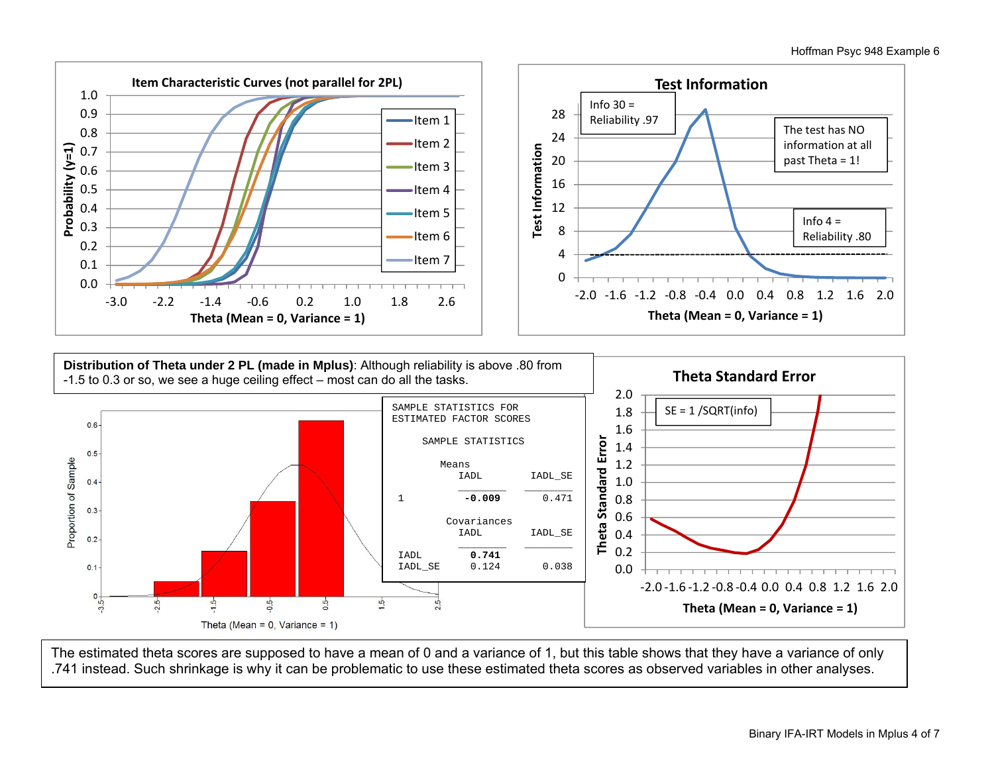



The estimated theta scores are supposed to have a mean of 0 and a variance of 1, but this table shows that they have a variance of only .741 instead. Such shrinkage is why it can be problematic to use these estimated theta scores as observed variables in other analyses.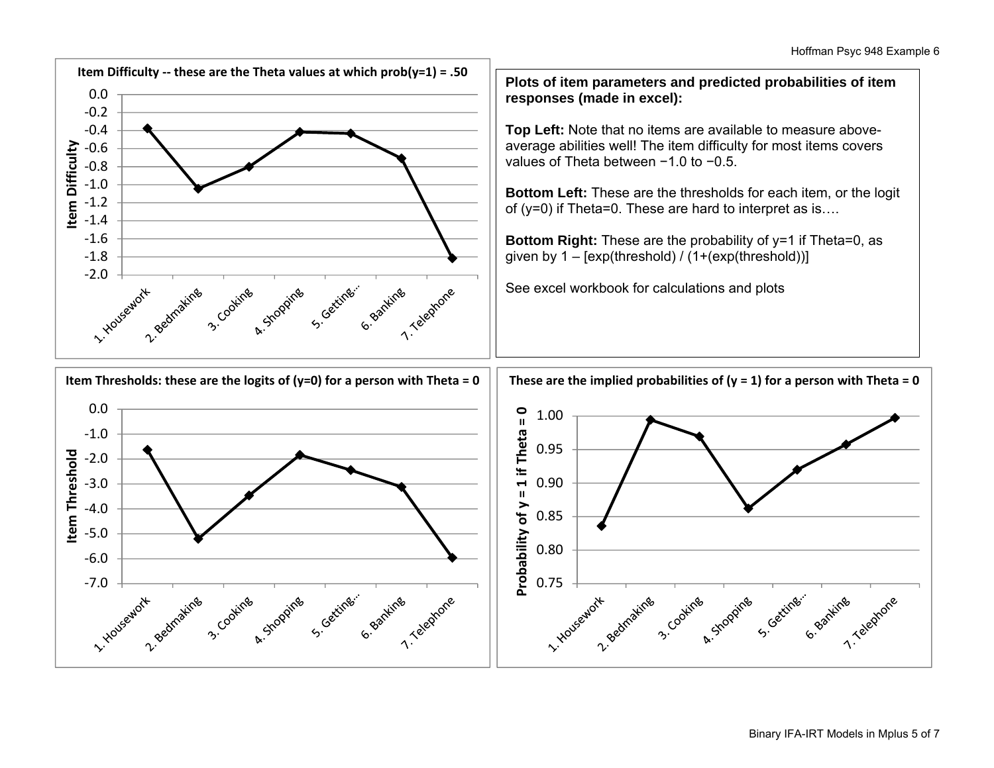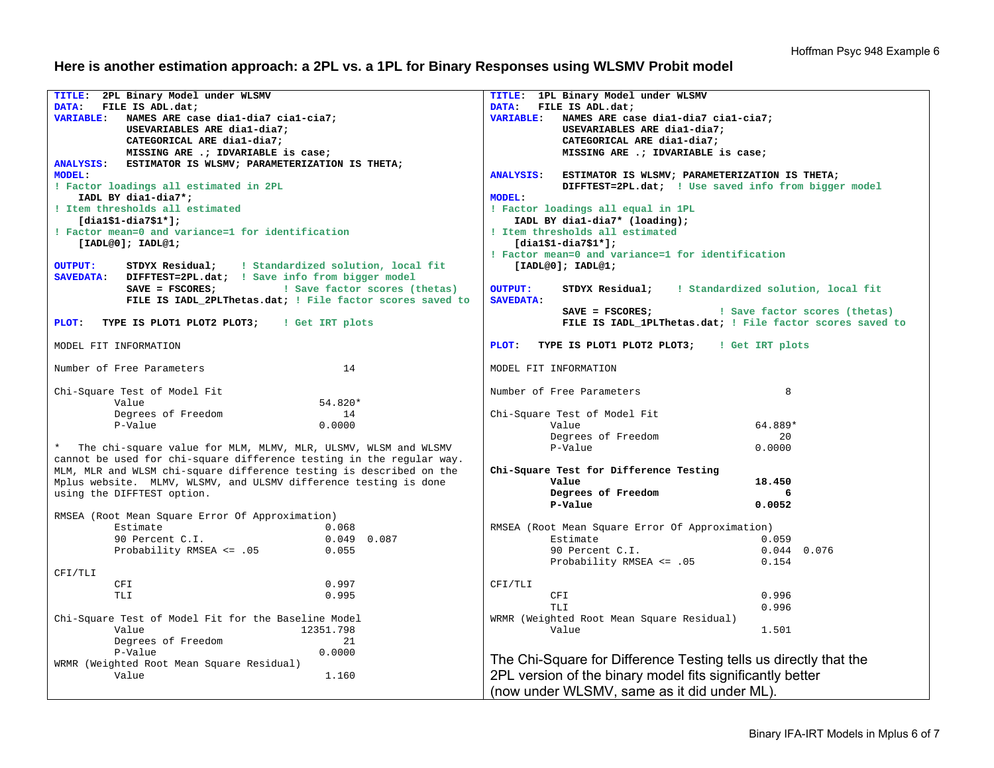## **Here is another estimation approach: a 2PL vs. a 1PL for Binary Responses using WLSMV Probit model**

| TITLE: 2PL Binary Model under WLSMV                                     | TITLE: 1PL Binary Model under WLSMV                                     |  |  |  |  |  |  |
|-------------------------------------------------------------------------|-------------------------------------------------------------------------|--|--|--|--|--|--|
| DATA:<br>FILE IS ADL.dat;                                               | DATA:<br>FILE IS ADL.dat;                                               |  |  |  |  |  |  |
| <b>VARIABLE:</b><br>NAMES ARE case dial-dia7 cial-cia7;                 | NAMES ARE case dial-dia7 cial-cia7;<br><b>VARIABLE:</b>                 |  |  |  |  |  |  |
| USEVARIABLES ARE dia1-dia7;                                             | USEVARIABLES ARE dia1-dia7;                                             |  |  |  |  |  |  |
| CATEGORICAL ARE dial-dia7;                                              | CATEGORICAL ARE dial-dia7;                                              |  |  |  |  |  |  |
| MISSING ARE .; IDVARIABLE is case;                                      | MISSING ARE .; IDVARIABLE is case;                                      |  |  |  |  |  |  |
| ESTIMATOR IS WLSMV; PARAMETERIZATION IS THETA;<br><b>ANALYSIS:</b>      |                                                                         |  |  |  |  |  |  |
| <b>MODEL:</b>                                                           | <b>ANALYSIS:</b><br>ESTIMATOR IS WLSMV; PARAMETERIZATION IS THETA;      |  |  |  |  |  |  |
| ! Factor loadings all estimated in 2PL                                  | DIFFTEST=2PL.dat; ! Use saved info from bigger model                    |  |  |  |  |  |  |
| IADL BY dia1-dia7*;                                                     | <b>MODEL:</b>                                                           |  |  |  |  |  |  |
| ! Item thresholds all estimated                                         | ! Factor loadings all equal in 1PL                                      |  |  |  |  |  |  |
| $[dial$1-dia7$1*];$                                                     | IADL BY dia1-dia7* (loading);                                           |  |  |  |  |  |  |
| ! Factor mean=0 and variance=1 for identification                       | ! Item thresholds all estimated                                         |  |  |  |  |  |  |
| [IADL@0]; IADL@1;                                                       | $[diag1-diag51*];$                                                      |  |  |  |  |  |  |
|                                                                         | ! Factor mean=0 and variance=1 for identification                       |  |  |  |  |  |  |
| ! Standardized solution, local fit<br><b>OUTPUT:</b><br>STDYX Residual; | [IADL@0]; IADL@1;                                                       |  |  |  |  |  |  |
| <b>SAVEDATA:</b><br>DIFFTEST=2PL.dat; ! Save info from bigger model     |                                                                         |  |  |  |  |  |  |
| ! Save factor scores (thetas)<br>$SAVE = FSCORES$ ;                     | <b>OUTPUT:</b><br>STDYX Residual;<br>! Standardized solution, local fit |  |  |  |  |  |  |
| FILE IS IADL_2PLThetas.dat; ! File factor scores saved to               | <b>SAVEDATA:</b>                                                        |  |  |  |  |  |  |
|                                                                         | $SAVE = FSCORES;$<br>! Save factor scores (thetas)                      |  |  |  |  |  |  |
| PLOT:<br>TYPE IS PLOT1 PLOT2 PLOT3;<br>! Get IRT plots                  | FILE IS IADL 1PLThetas.dat; ! File factor scores saved to               |  |  |  |  |  |  |
|                                                                         |                                                                         |  |  |  |  |  |  |
| MODEL FIT INFORMATION                                                   | PLOT:<br>TYPE IS PLOT1 PLOT2 PLOT3; I Get IRT plots                     |  |  |  |  |  |  |
|                                                                         |                                                                         |  |  |  |  |  |  |
| Number of Free Parameters<br>14                                         | MODEL FIT INFORMATION                                                   |  |  |  |  |  |  |
|                                                                         | 8<br>Number of Free Parameters                                          |  |  |  |  |  |  |
| Chi-Square Test of Model Fit<br>54.820*<br>Value                        |                                                                         |  |  |  |  |  |  |
|                                                                         |                                                                         |  |  |  |  |  |  |
| Degrees of Freedom<br>14<br>P-Value<br>0.0000                           | Chi-Square Test of Model Fit<br>64.889*<br>Value                        |  |  |  |  |  |  |
|                                                                         | 20                                                                      |  |  |  |  |  |  |
| * The chi-square value for MLM, MLMV, MLR, ULSMV, WLSM and WLSMV        | Degrees of Freedom<br>0.0000<br>P-Value                                 |  |  |  |  |  |  |
| cannot be used for chi-square difference testing in the regular way.    |                                                                         |  |  |  |  |  |  |
| MLM, MLR and WLSM chi-square difference testing is described on the     |                                                                         |  |  |  |  |  |  |
| Mplus website. MLMV, WLSMV, and ULSMV difference testing is done        | Chi-Square Test for Difference Testing<br>Value<br>18.450               |  |  |  |  |  |  |
|                                                                         | Degrees of Freedom                                                      |  |  |  |  |  |  |
| using the DIFFTEST option.                                              | P-Value<br>0.0052                                                       |  |  |  |  |  |  |
|                                                                         |                                                                         |  |  |  |  |  |  |
| RMSEA (Root Mean Square Error Of Approximation)<br>Estimate<br>0.068    | RMSEA (Root Mean Square Error Of Approximation)                         |  |  |  |  |  |  |
| 0.049 0.087<br>90 Percent C.I.                                          | Estimate<br>0.059                                                       |  |  |  |  |  |  |
| Probability RMSEA <= .05<br>0.055                                       | 90 Percent C.I.<br>$0.044$ 0.076                                        |  |  |  |  |  |  |
|                                                                         | Probability RMSEA <= .05<br>0.154                                       |  |  |  |  |  |  |
| CFI/TLI                                                                 |                                                                         |  |  |  |  |  |  |
| 0.997<br>CFI                                                            | CFI/TLI                                                                 |  |  |  |  |  |  |
| 0.995<br>TLI                                                            | 0.996<br>CFI                                                            |  |  |  |  |  |  |
|                                                                         | <b>TLI</b><br>0.996                                                     |  |  |  |  |  |  |
| Chi-Square Test of Model Fit for the Baseline Model                     | WRMR (Weighted Root Mean Square Residual)                               |  |  |  |  |  |  |
| 12351.798<br>Value                                                      | Value<br>1.501                                                          |  |  |  |  |  |  |
| Degrees of Freedom<br>21                                                |                                                                         |  |  |  |  |  |  |
| P-Value<br>0.0000                                                       |                                                                         |  |  |  |  |  |  |
| WRMR (Weighted Root Mean Square Residual)                               | The Chi-Square for Difference Testing tells us directly that the        |  |  |  |  |  |  |
| Value<br>1.160                                                          | 2PL version of the binary model fits significantly better               |  |  |  |  |  |  |
|                                                                         |                                                                         |  |  |  |  |  |  |
|                                                                         | (now under WLSMV, same as it did under ML)                              |  |  |  |  |  |  |